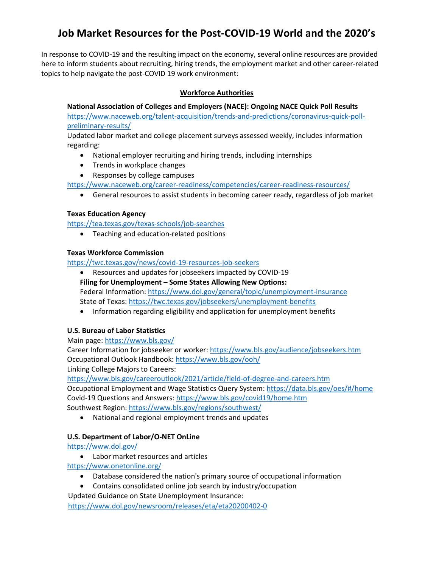# **Job Market Resources for the Post-COVID-19 World and the 2020's**

In response to COVID-19 and the resulting impact on the economy, several online resources are provided here to inform students about recruiting, hiring trends, the employment market and other career-related topics to help navigate the post-COVID 19 work environment:

# **Workforce Authorities**

**National Association of Colleges and Employers (NACE): Ongoing NACE Quick Poll Results**

[https://www.naceweb.org/talent-acquisition/trends-and-predictions/coronavirus-quick-poll](https://www.naceweb.org/talent-acquisition/trends-and-predictions/coronavirus-quick-poll-preliminary-results/)[preliminary-results/](https://www.naceweb.org/talent-acquisition/trends-and-predictions/coronavirus-quick-poll-preliminary-results/)

Updated labor market and college placement surveys assessed weekly, includes information regarding:

- National employer recruiting and hiring trends, including internships
- Trends in workplace changes
- Responses by college campuses

<https://www.naceweb.org/career-readiness/competencies/career-readiness-resources/>

• General resources to assist students in becoming career ready, regardless of job market

## **Texas Education Agency**

<https://tea.texas.gov/texas-schools/job-searches>

• Teaching and education-related positions

## **Texas Workforce Commission**

<https://twc.texas.gov/news/covid-19-resources-job-seekers>

- Resources and updates for jobseekers impacted by COVID-19 **Filing for Unemployment – Some States Allowing New Options:** Federal Information:<https://www.dol.gov/general/topic/unemployment-insurance> State of Texas[: https://twc.texas.gov/jobseekers/unemployment-benefits](https://twc.texas.gov/jobseekers/unemployment-benefits)
- Information regarding eligibility and application for unemployment benefits

# **U.S. Bureau of Labor Statistics**

Main page:<https://www.bls.gov/>

Career Information for jobseeker or worker:<https://www.bls.gov/audience/jobseekers.htm> Occupational Outlook Handbook:<https://www.bls.gov/ooh/> Linking College Majors to Careers:

<https://www.bls.gov/careeroutlook/2021/article/field-of-degree-and-careers.htm>

Occupational Employment and Wage Statistics Query System:<https://data.bls.gov/oes/#/home> Covid-19 Questions and Answers[: https://www.bls.gov/covid19/home.htm](https://www.bls.gov/covid19/home.htm) Southwest Region[: https://www.bls.gov/regions/southwest/](https://www.bls.gov/regions/southwest/)

• National and regional employment trends and updates

# **U.S. Department of Labor/O-NET OnLine**

<https://www.dol.gov/>

• Labor market resources and articles

<https://www.onetonline.org/>

- Database considered the nation's primary source of occupational information
- Contains consolidated online job search by industry/occupation

Updated Guidance on State Unemployment Insurance:

<https://www.dol.gov/newsroom/releases/eta/eta20200402-0>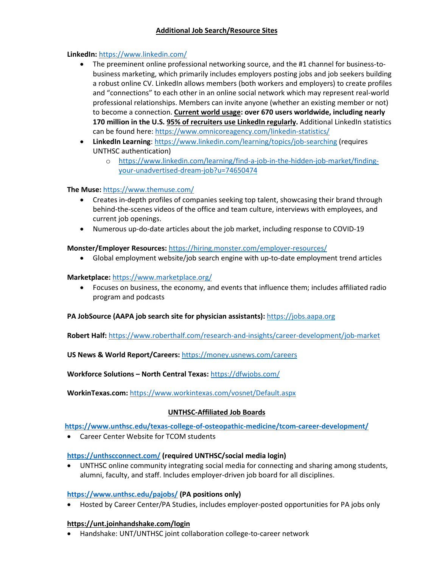## **Additional Job Search/Resource Sites**

## **LinkedIn:** <https://www.linkedin.com/>

- The preeminent online professional networking source, and the #1 channel for business-tobusiness marketing, which primarily includes employers posting jobs and job seekers building a robust online CV. LinkedIn allows members (both workers and employers) to create profiles and "connections" to each other in an online social network which may represent real-world professional relationships. Members can invite anyone (whether an existing member or not) to become a connection. **Current world usage: over 670 users worldwide, including nearly**  170 million in the U.S. 95% of recruiters use LinkedIn regularly. Additional LinkedIn statistics can be found here[: https://www.omnicoreagency.com/linkedin-statistics/](https://www.omnicoreagency.com/linkedin-statistics/)
- **LinkedIn Learning**[: https://www.linkedin.com/learning/topics/job-searching](https://www.linkedin.com/learning/topics/job-searching) (requires UNTHSC authentication)
	- o [https://www.linkedin.com/learning/find-a-job-in-the-hidden-job-market/finding](https://www.linkedin.com/learning/find-a-job-in-the-hidden-job-market/finding-your-unadvertised-dream-job?u=74650474)[your-unadvertised-dream-job?u=74650474](https://www.linkedin.com/learning/find-a-job-in-the-hidden-job-market/finding-your-unadvertised-dream-job?u=74650474)

#### **The Muse:** <https://www.themuse.com/>

- Creates in-depth profiles of companies seeking top talent, showcasing their brand through behind-the-scenes videos of the office and team culture, interviews with employees, and current job openings.
- Numerous up-do-date articles about the job market, including response to COVID-19

## **Monster/Employer Resources:** <https://hiring.monster.com/employer-resources/>

• Global employment website/job search engine with up-to-date employment trend articles

#### **Marketplace:** <https://www.marketplace.org/>

• Focuses on business, the economy, and events that influence them; includes affiliated radio program and podcasts

#### **PA JobSource (AAPA job search site for physician assistants):** [https://jobs.aapa.org](https://jobs.aapa.org/)

**Robert Half:** <https://www.roberthalf.com/research-and-insights/career-development/job-market>

**US News & World Report/Careers:** <https://money.usnews.com/careers>

**Workforce Solutions – North Central Texas:** <https://dfwjobs.com/>

**WorkinTexas.com:** <https://www.workintexas.com/vosnet/Default.aspx>

# **UNTHSC-Affiliated Job Boards**

#### **<https://www.unthsc.edu/texas-college-of-osteopathic-medicine/tcom-career-development/>**

• Career Center Website for TCOM students

#### **<https://unthscconnect.com/> (required UNTHSC/social media login)**

• UNTHSC online community integrating social media for connecting and sharing among students, alumni, faculty, and staff. Includes employer-driven job board for all disciplines.

#### **<https://www.unthsc.edu/pajobs/> (PA positions only)**

• Hosted by Career Center/PA Studies, includes employer-posted opportunities for PA jobs only

#### **<https://unt.joinhandshake.com/login>**

• Handshake: UNT/UNTHSC joint collaboration college-to-career network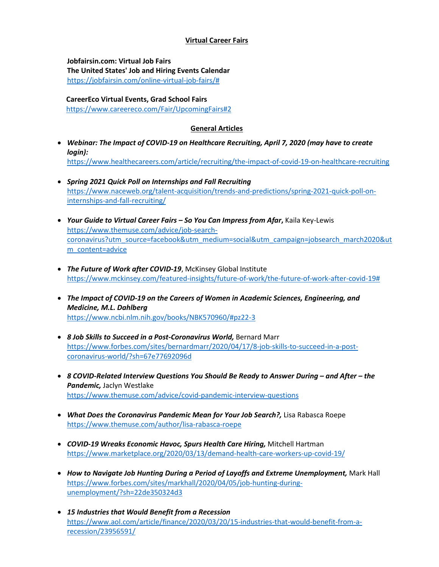## **Virtual Career Fairs**

**Jobfairsin.com: Virtual Job Fairs The United States' Job and Hiring Events Calendar** [https://jobfairsin.com/online-virtual-job-fairs/#](https://jobfairsin.com/online-virtual-job-fairs/)

 **CareerEco Virtual Events, Grad School Fairs** <https://www.careereco.com/Fair/UpcomingFairs#2>

## **General Articles**

- *Webinar: The Impact of COVID-19 on Healthcare Recruiting, April 7, 2020 (may have to create login):* <https://www.healthecareers.com/article/recruiting/the-impact-of-covid-19-on-healthcare-recruiting>
- *Spring 2021 Quick Poll on Internships and Fall Recruiting* [https://www.naceweb.org/talent-acquisition/trends-and-predictions/spring-2021-quick-poll-on](https://www.naceweb.org/talent-acquisition/trends-and-predictions/spring-2021-quick-poll-on-internships-and-fall-recruiting/)[internships-and-fall-recruiting/](https://www.naceweb.org/talent-acquisition/trends-and-predictions/spring-2021-quick-poll-on-internships-and-fall-recruiting/)
- *Your Guide to Virtual Career Fairs – So You Can Impress from Afar***,** Kaila Key-Lewis [https://www.themuse.com/advice/job-search](https://www.themuse.com/advice/job-search-coronavirus?utm_source=facebook&utm_medium=social&utm_campaign=jobsearch_march2020&utm_content=advice)[coronavirus?utm\\_source=facebook&utm\\_medium=social&utm\\_campaign=jobsearch\\_march2020&ut](https://www.themuse.com/advice/job-search-coronavirus?utm_source=facebook&utm_medium=social&utm_campaign=jobsearch_march2020&utm_content=advice) [m\\_content=advice](https://www.themuse.com/advice/job-search-coronavirus?utm_source=facebook&utm_medium=social&utm_campaign=jobsearch_march2020&utm_content=advice)
- *The Future of Work after COVID-19*, McKinsey Global Institute [https://www.mckinsey.com/featured-insights/future-of-work/the-future-of-work-after-covid-19#](https://www.mckinsey.com/featured-insights/future-of-work/the-future-of-work-after-covid-19)
- *The Impact of COVID-19 on the Careers of Women in Academic Sciences, Engineering, and Medicine, M.L. Dahlberg* <https://www.ncbi.nlm.nih.gov/books/NBK570960/#pz22-3>
- *8 Job Skills to Succeed in a Post-Coronavirus World,* Bernard Marr [https://www.forbes.com/sites/bernardmarr/2020/04/17/8-job-skills-to-succeed-in-a-post](https://www.forbes.com/sites/bernardmarr/2020/04/17/8-job-skills-to-succeed-in-a-post-coronavirus-world/?sh=67e77692096d)[coronavirus-world/?sh=67e77692096d](https://www.forbes.com/sites/bernardmarr/2020/04/17/8-job-skills-to-succeed-in-a-post-coronavirus-world/?sh=67e77692096d)
- *8 COVID-Related Interview Questions You Should Be Ready to Answer During – and After – the Pandemic,* Jaclyn Westlake <https://www.themuse.com/advice/covid-pandemic-interview-questions>
- *What Does the Coronavirus Pandemic Mean for Your Job Search?*, Lisa Rabasca Roepe <https://www.themuse.com/author/lisa-rabasca-roepe>
- *COVID-19 Wreaks Economic Havoc, Spurs Health Care Hiring,* Mitchell Hartman <https://www.marketplace.org/2020/03/13/demand-health-care-workers-up-covid-19/>
- *How to Navigate Job Hunting During a Period of Layoffs and Extreme Unemployment,* Mark Hall [https://www.forbes.com/sites/markhall/2020/04/05/job-hunting-during](https://www.forbes.com/sites/markhall/2020/04/05/job-hunting-during-unemployment/?sh=22de350324d3)[unemployment/?sh=22de350324d3](https://www.forbes.com/sites/markhall/2020/04/05/job-hunting-during-unemployment/?sh=22de350324d3)
- *15 Industries that Would Benefit from a Recession* [https://www.aol.com/article/finance/2020/03/20/15-industries-that-would-benefit-from-a](https://www.aol.com/article/finance/2020/03/20/15-industries-that-would-benefit-from-a-recession/23956591/)[recession/23956591/](https://www.aol.com/article/finance/2020/03/20/15-industries-that-would-benefit-from-a-recession/23956591/)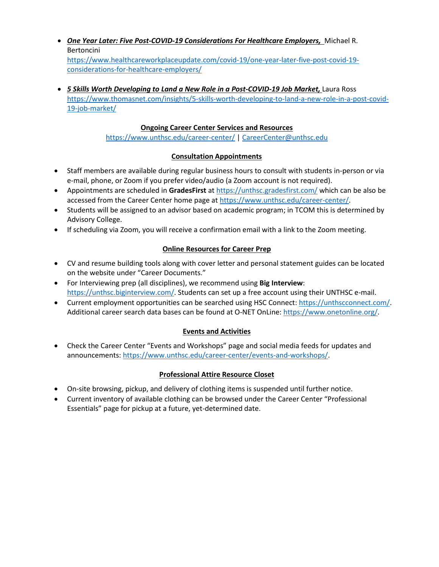- *One Year Later: Five Post-COVID-19 Considerations For Healthcare Employers,* [Michael R.](http://www.jacksonlewis.com/people/michael-r-bertoncini)  [Bertoncini](http://www.jacksonlewis.com/people/michael-r-bertoncini) [https://www.healthcareworkplaceupdate.com/covid-19/one-year-later-five-post-covid-19](https://www.healthcareworkplaceupdate.com/covid-19/one-year-later-five-post-covid-19-considerations-for-healthcare-employers/) [considerations-for-healthcare-employers/](https://www.healthcareworkplaceupdate.com/covid-19/one-year-later-five-post-covid-19-considerations-for-healthcare-employers/)
- *5 Skills Worth Developing to Land a New Role in a Post-COVID-19 Job Market, Laura Ross* [https://www.thomasnet.com/insights/5-skills-worth-developing-to-land-a-new-role-in-a-post-covid-](https://www.thomasnet.com/insights/5-skills-worth-developing-to-land-a-new-role-in-a-post-covid-19-job-market/)[19-job-market/](https://www.thomasnet.com/insights/5-skills-worth-developing-to-land-a-new-role-in-a-post-covid-19-job-market/)

## **Ongoing Career Center Services and Resources**

<https://www.unthsc.edu/career-center/> | [CareerCenter@unthsc.edu](mailto:CareerCenter@unthsc.edu)

# **Consultation Appointments**

- Staff members are available during regular business hours to consult with students in-person or via e-mail, phone, or Zoom if you prefer video/audio (a Zoom account is not required).
- Appointments are scheduled in **GradesFirst** a[t https://unthsc.gradesfirst.com/](https://unthsc.gradesfirst.com/) which can be also be accessed from the Career Center home page a[t https://www.unthsc.edu/career-center/.](https://www.unthsc.edu/career-center/)
- Students will be assigned to an advisor based on academic program; in TCOM this is determined by Advisory College.
- If scheduling via Zoom, you will receive a confirmation email with a link to the Zoom meeting.

## **Online Resources for Career Prep**

- CV and resume building tools along with cover letter and personal statement guides can be located on the website under "Career Documents."
- For Interviewing prep (all disciplines), we recommend using **Big Interview**: [https://unthsc.biginterview.com/.](https://unthsc.biginterview.com/) Students can set up a free account using their UNTHSC e-mail.
- Current employment opportunities can be searched using HSC Connect: [https://unthscconnect.com/.](https://unthscconnect.com/) Additional career search data bases can be found at O-NET OnLine: [https://www.onetonline.org/.](https://www.onetonline.org/)

#### **Events and Activities**

• Check the Career Center "Events and Workshops" page and social media feeds for updates and announcements: [https://www.unthsc.edu/career-center/events-and-workshops/.](https://www.unthsc.edu/career-center/events-and-workshops/)

# **Professional Attire Resource Closet**

- On-site browsing, pickup, and delivery of clothing items is suspended until further notice.
- Current inventory of available clothing can be browsed under the Career Center "Professional Essentials" page for pickup at a future, yet-determined date.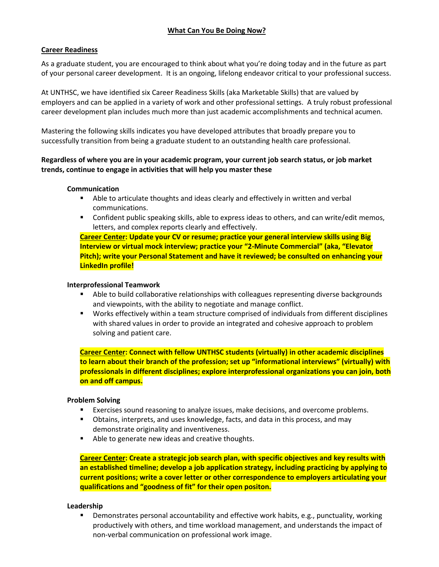## **What Can You Be Doing Now?**

#### **Career Readiness**

As a graduate student, you are encouraged to think about what you're doing today and in the future as part of your personal career development. It is an ongoing, lifelong endeavor critical to your professional success.

At UNTHSC, we have identified six Career Readiness Skills (aka Marketable Skills) that are valued by employers and can be applied in a variety of work and other professional settings. A truly robust professional career development plan includes much more than just academic accomplishments and technical acumen.

Mastering the following skills indicates you have developed attributes that broadly prepare you to successfully transition from being a graduate student to an outstanding health care professional.

#### **Regardless of where you are in your academic program, your current job search status, or job market trends, continue to engage in activities that will help you master these**

#### **Communication**

- Able to articulate thoughts and ideas clearly and effectively in written and verbal communications.
- Confident public speaking skills, able to express ideas to others, and can write/edit memos, letters, and complex reports clearly and effectively.

**Career Center: Update your CV or resume; practice your general interview skills using Big Interview or virtual mock interview; practice your "2-Minute Commercial" (aka, "Elevator Pitch); write your Personal Statement and have it reviewed; be consulted on enhancing your LinkedIn profile!**

#### **Interprofessional Teamwork**

- Able to build collaborative relationships with colleagues representing diverse backgrounds and viewpoints, with the ability to negotiate and manage conflict.
- Works effectively within a team structure comprised of individuals from different disciplines with shared values in order to provide an integrated and cohesive approach to problem solving and patient care.

**Career Center: Connect with fellow UNTHSC students (virtually) in other academic disciplines to learn about their branch of the profession; set up "informational interviews" (virtually) with professionals in different disciplines; explore interprofessional organizations you can join, both on and off campus.**

#### **Problem Solving**

- Exercises sound reasoning to analyze issues, make decisions, and overcome problems.
- Obtains, interprets, and uses knowledge, facts, and data in this process, and may demonstrate originality and inventiveness.
- Able to generate new ideas and creative thoughts.

**Career Center: Create a strategic job search plan, with specific objectives and key results with an established timeline; develop a job application strategy, including practicing by applying to current positions; write a cover letter or other correspondence to employers articulating your qualifications and "goodness of fit" for their open positon.**

#### **Leadership**

**Demonstrates personal accountability and effective work habits, e.g., punctuality, working** productively with others, and time workload management, and understands the impact of non-verbal communication on professional work image.